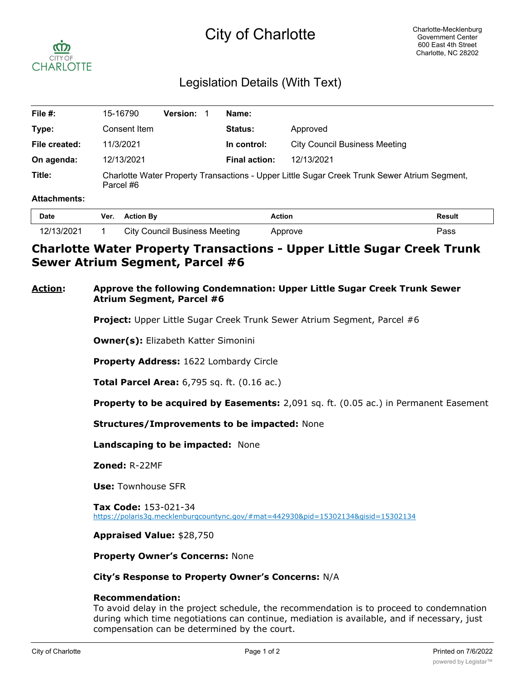# City of Charlotte



# Legislation Details (With Text)

| File #:       | 15-16790                                                                                                  | <b>Version:</b> | Name:                |                                      |
|---------------|-----------------------------------------------------------------------------------------------------------|-----------------|----------------------|--------------------------------------|
| Type:         | Consent Item                                                                                              |                 | <b>Status:</b>       | Approved                             |
| File created: | 11/3/2021                                                                                                 |                 | In control:          | <b>City Council Business Meeting</b> |
| On agenda:    | 12/13/2021                                                                                                |                 | <b>Final action:</b> | 12/13/2021                           |
| Title:        | Charlotte Water Property Transactions - Upper Little Sugar Creek Trunk Sewer Atrium Segment,<br>Parcel #6 |                 |                      |                                      |

#### **Attachments:**

| Date                    | Ver. | <b>Action By</b>              | <b>Action</b> | <b>Result</b> |
|-------------------------|------|-------------------------------|---------------|---------------|
| 2/13/2021<br>$\epsilon$ |      | City Council Business Meeting | Approve       | פs⊳           |

# **Charlotte Water Property Transactions - Upper Little Sugar Creek Trunk Sewer Atrium Segment, Parcel #6**

## **Action: Approve the following Condemnation: Upper Little Sugar Creek Trunk Sewer Atrium Segment, Parcel #6**

**Project:** Upper Little Sugar Creek Trunk Sewer Atrium Segment, Parcel #6

**Owner(s):** Elizabeth Katter Simonini

**Property Address:** 1622 Lombardy Circle

**Total Parcel Area:** 6,795 sq. ft. (0.16 ac.)

**Property to be acquired by Easements:** 2,091 sq. ft. (0.05 ac.) in Permanent Easement

**Structures/Improvements to be impacted:** None

**Landscaping to be impacted:** None

**Zoned:** R-22MF

**Use:** Townhouse SFR

**Tax Code:** 153-021-34 https://polaris3g.mecklenburgcountync.gov/#mat=442930&pid=15302134&gisid=15302134

**Appraised Value:** \$28,750

**Property Owner's Concerns:** None

#### **City's Response to Property Owner's Concerns:** N/A

### **Recommendation:**

To avoid delay in the project schedule, the recommendation is to proceed to condemnation during which time negotiations can continue, mediation is available, and if necessary, just compensation can be determined by the court.